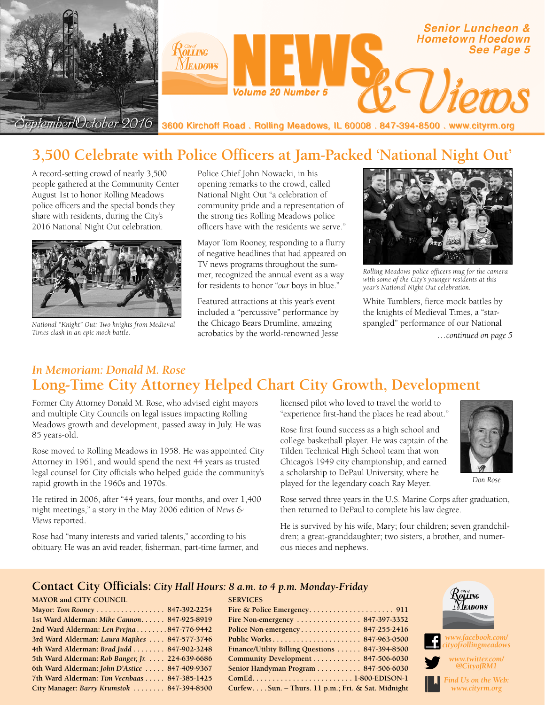

# **3,500 Celebrate with Police Officers at Jam-Packed 'National Night Out'**

A record-setting crowd of nearly 3,500 people gathered at the Community Center August 1st to honor Rolling Meadows police officers and the special bonds they share with residents, during the City's 2016 National Night Out celebration.



*National "Knight" Out: Two knights from Medieval Times clash in an epic mock battle.*

Police Chief John Nowacki, in his opening remarks to the crowd, called National Night Out "a celebration of community pride and a representation of the strong ties Rolling Meadows police officers have with the residents we serve."

Mayor Tom Rooney, responding to a flurry of negative headlines that had appeared on TV news programs throughout the summer, recognized the annual event as a way for residents to honor "*our* boys in blue."

Featured attractions at this year's event included a "percussive" performance by the Chicago Bears Drumline, amazing acrobatics by the world-renowned Jesse



*Rolling Meadows police officers mug for the camera with some of the City's younger residents at this year's National Night Out celebration.*

White Tumblers, fierce mock battles by the knights of Medieval Times, a "starspangled" performance of our National

*…continued on page 5*

### *In Memoriam: Donald M. Rose* **Long-Time City Attorney Helped Chart City Growth, Development**

Former City Attorney Donald M. Rose, who advised eight mayors and multiple City Councils on legal issues impacting Rolling Meadows growth and development, passed away in July. He was 85 years-old.

Rose moved to Rolling Meadows in 1958. He was appointed City Attorney in 1961, and would spend the next 44 years as trusted legal counsel for City officials who helped guide the community's rapid growth in the 1960s and 1970s.

He retired in 2006, after "44 years, four months, and over 1,400 night meetings," a story in the May 2006 edition of *News & Views* reported.

Rose had "many interests and varied talents," according to his obituary. He was an avid reader, fisherman, part-time farmer, and licensed pilot who loved to travel the world to "experience first-hand the places he read about."

Rose first found success as a high school and college basketball player. He was captain of the Tilden Technical High School team that won Chicago's 1949 city championship, and earned a scholarship to DePaul University, where he played for the legendary coach Ray Meyer.



*Don Rose*

Rose served three years in the U.S. Marine Corps after graduation, then returned to DePaul to complete his law degree.

He is survived by his wife, Mary; four children; seven grandchildren; a great-granddaughter; two sisters, a brother, and numerous nieces and nephews.

#### **Contact City Officials:** *City Hall Hours: 8 a.m. to 4 p.m. Monday-Friday*

| <b>MAYOR and CITY COUNCIL</b>                   |
|-------------------------------------------------|
| Mayor: Tom Rooney 847-392-2254                  |
| 1st Ward Alderman: Mike Cannon 847-925-8919     |
| 2nd Ward Alderman: Len Prejna847-776-9442       |
| 3rd Ward Alderman: Laura Majikes  847-577-3746  |
| 4th Ward Alderman: Brad Judd 847-902-3248       |
| 5th Ward Alderman: Rob Banger, Jr. 224-639-6686 |
| 6th Ward Alderman: John D'Astice  847-409-9367  |
| 7th Ward Alderman: Tim Veenbaas 847-385-1425    |
| City Manager: Barry Krumstok  847-394-8500      |
|                                                 |

| <b>SERVICES</b>                                               |  |
|---------------------------------------------------------------|--|
|                                                               |  |
| Fire Non-emergency $\ldots \ldots \ldots \ldots 847-397-3352$ |  |
| Police Non-emergency $847-255-2416$                           |  |
| <u> Public Works 847-963-0500</u>                             |  |
| Finance/Utility Billing Questions  847-394-8500               |  |
| Community Development  847-506-6030                           |  |
| Senior Handyman Program 847-506-6030                          |  |
| ComEd1-800-EDISON-1                                           |  |
| CurfewSun. - Thurs. 11 p.m.; Fri. & Sat. Midnight             |  |



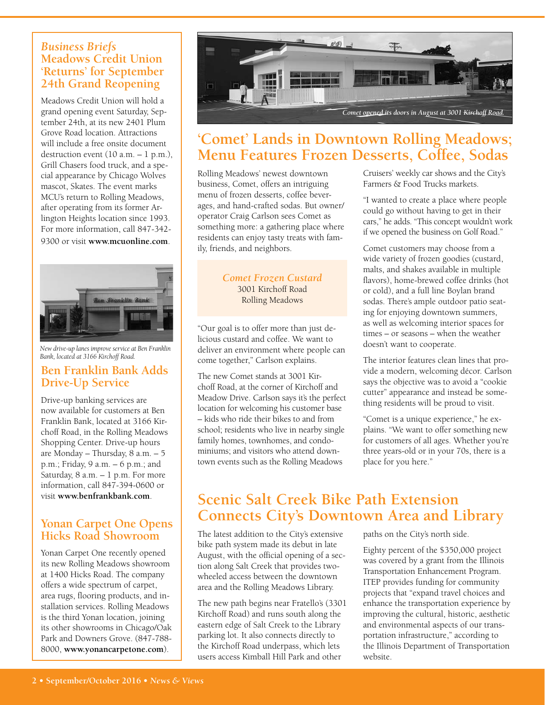### *Business Briefs* **Meadows Credit Union 'Returns' for September 24th Grand Reopening**

Meadows Credit Union will hold a grand opening event Saturday, September 24th, at its new 2401 Plum Grove Road location. Attractions will include a free onsite document destruction event  $(10 a.m. - 1 p.m.).$ Grill Chasers food truck, and a special appearance by Chicago Wolves mascot, Skates. The event marks MCU's return to Rolling Meadows, after operating from its former Arlington Heights location since 1993. For more information, call 847-342- 9300 or visit **www.mcuonline.com**.



*New drive-up lanes improve service at Ben Franklin Bank, located at 3166 Kirchoff Road.*

### **Ben Franklin Bank Adds Drive-Up Service**

Drive-up banking services are now available for customers at Ben Franklin Bank, located at 3166 Kirchoff Road, in the Rolling Meadows Shopping Center. Drive-up hours are Monday – Thursday, 8 a.m. – 5 p.m.; Friday, 9 a.m. – 6 p.m.; and Saturday, 8 a.m. – 1 p.m. For more information, call 847-394-0600 or visit **www.benfrankbank.com**.

### **Yonan Carpet One Opens Hicks Road Showroom**

Yonan Carpet One recently opened its new Rolling Meadows showroom at 1400 Hicks Road. The company offers a wide spectrum of carpet, area rugs, flooring products, and installation services. Rolling Meadows is the third Yonan location, joining its other showrooms in Chicago/Oak Park and Downers Grove. (847-788- 8000, **www.yonancarpetone.com**).



## **'Comet' Lands in Downtown Rolling Meadows; Menu Features Frozen Desserts, Coffee, Sodas**

Rolling Meadows' newest downtown business, Comet, offers an intriguing menu of frozen desserts, coffee beverages, and hand-crafted sodas. But owner/ operator Craig Carlson sees Comet as something more: a gathering place where residents can enjoy tasty treats with family, friends, and neighbors.

> *Comet Frozen Custard* 3001 Kirchoff Road Rolling Meadows

"Our goal is to offer more than just delicious custard and coffee. We want to deliver an environment where people can come together," Carlson explains.

The new Comet stands at 3001 Kirchoff Road, at the corner of Kirchoff and Meadow Drive. Carlson says it's the perfect location for welcoming his customer base – kids who ride their bikes to and from school; residents who live in nearby single family homes, townhomes, and condominiums; and visitors who attend downtown events such as the Rolling Meadows

Cruisers' weekly car shows and the City's Farmers & Food Trucks markets.

"I wanted to create a place where people could go without having to get in their cars," he adds. "This concept wouldn't work if we opened the business on Golf Road."

Comet customers may choose from a wide variety of frozen goodies (custard, malts, and shakes available in multiple flavors), home-brewed coffee drinks (hot or cold), and a full line Boylan brand sodas. There's ample outdoor patio seating for enjoying downtown summers, as well as welcoming interior spaces for times – or seasons – when the weather doesn't want to cooperate.

The interior features clean lines that provide a modern, welcoming décor. Carlson says the objective was to avoid a "cookie cutter" appearance and instead be something residents will be proud to visit.

"Comet is a unique experience," he explains. "We want to offer something new for customers of all ages. Whether you're three years-old or in your 70s, there is a place for you here."

## **Scenic Salt Creek Bike Path Extension Connects City's Downtown Area and Library**

The latest addition to the City's extensive bike path system made its debut in late August, with the official opening of a section along Salt Creek that provides twowheeled access between the downtown area and the Rolling Meadows Library.

The new path begins near Fratello's (3301 Kirchoff Road) and runs south along the eastern edge of Salt Creek to the Library parking lot. It also connects directly to the Kirchoff Road underpass, which lets users access Kimball Hill Park and other

paths on the City's north side.

Eighty percent of the \$350,000 project was covered by a grant from the Illinois Transportation Enhancement Program. ITEP provides funding for community projects that "expand travel choices and enhance the transportation experience by improving the cultural, historic, aesthetic and environmental aspects of our transportation infrastructure," according to the Illinois Department of Transportation website.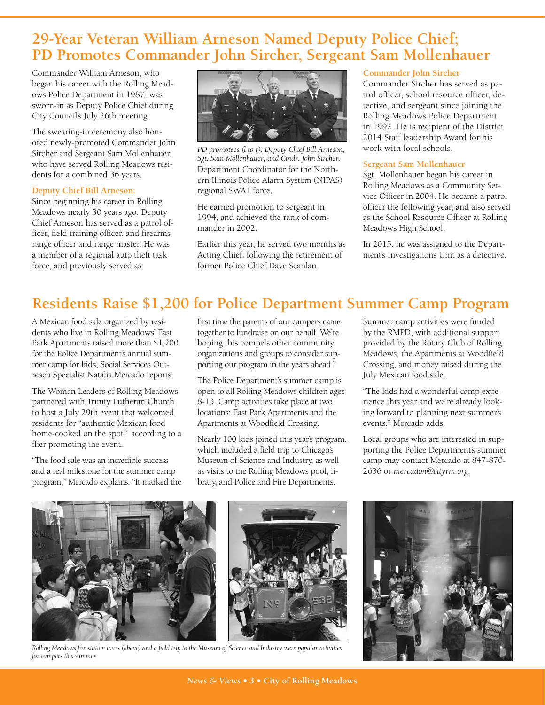## **29-Year Veteran William Arneson Named Deputy Police Chief; PD Promotes Commander John Sircher, Sergeant Sam Mollenhauer**

Commander William Arneson, who began his career with the Rolling Meadows Police Department in 1987, was sworn-in as Deputy Police Chief during City Council's July 26th meeting.

The swearing-in ceremony also honored newly-promoted Commander John Sircher and Sergeant Sam Mollenhauer, who have served Rolling Meadows residents for a combined 36 years.

#### **Deputy Chief Bill Arneson:**

Since beginning his career in Rolling Meadows nearly 30 years ago, Deputy Chief Arneson has served as a patrol officer, field training officer, and firearms range officer and range master. He was a member of a regional auto theft task force, and previously served as



Department Coordinator for the Northern Illinois Police Alarm System (NIPAS) regional SWAT force. *PD promotees (l to r): Deputy Chief Bill Arneson, Sgt. Sam Mollenhauer, and Cmdr. John Sircher.* 

He earned promotion to sergeant in 1994, and achieved the rank of commander in 2002.

Earlier this year, he served two months as Acting Chief, following the retirement of former Police Chief Dave Scanlan.

#### **Commander John Sircher**

Commander Sircher has served as patrol officer, school resource officer, detective, and sergeant since joining the Rolling Meadows Police Department in 1992. He is recipient of the District 2014 Staff leadership Award for his work with local schools.

#### **Sergeant Sam Mollenhauer**

Sgt. Mollenhauer began his career in Rolling Meadows as a Community Service Officer in 2004. He became a patrol officer the following year, and also served as the School Resource Officer at Rolling Meadows High School.

In 2015, he was assigned to the Department's Investigations Unit as a detective.

# **Residents Raise \$1,200 for Police Department Summer Camp Program**

A Mexican food sale organized by residents who live in Rolling Meadows' East Park Apartments raised more than \$1,200 for the Police Department's annual summer camp for kids, Social Services Outreach Specialist Natalia Mercado reports.

The Woman Leaders of Rolling Meadows partnered with Trinity Lutheran Church to host a July 29th event that welcomed residents for "authentic Mexican food home-cooked on the spot," according to a flier promoting the event.

"The food sale was an incredible success and a real milestone for the summer camp program," Mercado explains. "It marked the first time the parents of our campers came together to fundraise on our behalf. We're hoping this compels other community organizations and groups to consider supporting our program in the years ahead."

The Police Department's summer camp is open to all Rolling Meadows children ages 8-13. Camp activities take place at two locations: East Park Apartments and the Apartments at Woodfield Crossing.

Nearly 100 kids joined this year's program, which included a field trip to Chicago's Museum of Science and Industry, as well as visits to the Rolling Meadows pool, library, and Police and Fire Departments.

Summer camp activities were funded by the RMPD, with additional support provided by the Rotary Club of Rolling Meadows, the Apartments at Woodfield Crossing, and money raised during the July Mexican food sale.

"The kids had a wonderful camp experience this year and we're already looking forward to planning next summer's events," Mercado adds.

Local groups who are interested in supporting the Police Department's summer camp may contact Mercado at 847-870- 2636 or *mercadon@cityrm.org*.



*Rolling Meadows fire station tours (above) and a field trip to the Museum of Science and Industry were popular activities for campers this summer.*

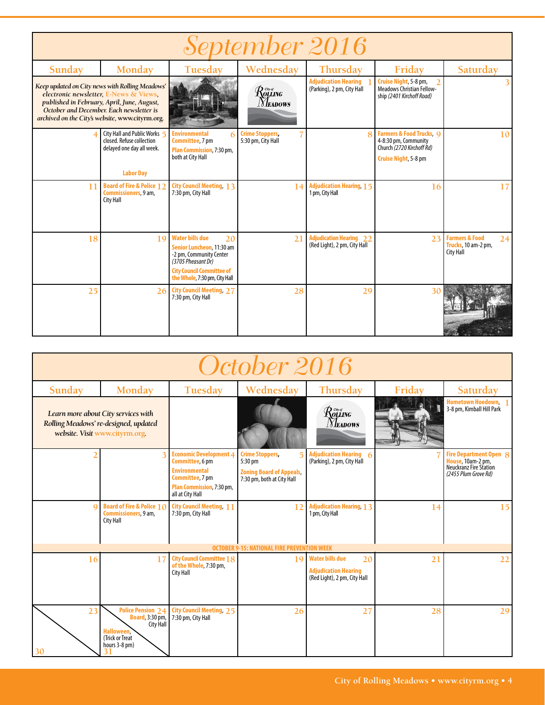| September 2016 |                                                                                                                                                                                                                                         |                                                                                                                                                                                 |                                             |                                                                |                                                                                                                          |                                                                            |  |  |  |  |
|----------------|-----------------------------------------------------------------------------------------------------------------------------------------------------------------------------------------------------------------------------------------|---------------------------------------------------------------------------------------------------------------------------------------------------------------------------------|---------------------------------------------|----------------------------------------------------------------|--------------------------------------------------------------------------------------------------------------------------|----------------------------------------------------------------------------|--|--|--|--|
| Sunday         | Monday                                                                                                                                                                                                                                  | Tuesday                                                                                                                                                                         | Wednesday                                   | Thursday                                                       | Friday                                                                                                                   | Saturday                                                                   |  |  |  |  |
|                | Keep updated on City news with Rolling Meadows'<br>electronic newsletter, E-News & Views.<br>published in February, April, June, August,<br>October and December. Each newsletter is<br>archived on the City's website, www.cityrm.org. |                                                                                                                                                                                 | $\mathcal{R}$ olling<br><b>NEADOWS</b>      | <b>Adjudication Hearing</b><br>(Parking), 2 pm, City Hall      | Cruise Night, 5-8 pm,<br><b>Meadows Christian Fellow-</b><br>ship (2401 Kirchoff Road)                                   |                                                                            |  |  |  |  |
|                | City Hall and Public Works 5<br>closed. Refuse collection<br>delayed one day all week.<br><b>Labor Day</b>                                                                                                                              | <b>Environmental</b><br><b>Committee</b> , 7 pm<br>Plan Commission, 7:30 pm,<br>both at City Hall                                                                               | <b>Crime Stoppers</b><br>5:30 pm, City Hall | $\mathbf{R}$                                                   | <b>Farmers &amp; Food Trucks</b> , Q<br>4-8:30 pm, Community<br>Church (2720 Kirchoff Rd)<br><b>Cruise Night, 5-8 pm</b> | 10                                                                         |  |  |  |  |
| 11             | <b>Board of Fire &amp; Police 12</b><br><b>Commissioners</b> , 9 am,<br><b>City Hall</b>                                                                                                                                                | <b>City Council Meeting 13</b><br>7:30 pm, City Hall                                                                                                                            | 14                                          | <b>Adjudication Hearing, 15</b><br>1 pm, City Hall             | 16                                                                                                                       | 17                                                                         |  |  |  |  |
| 18             | 19                                                                                                                                                                                                                                      | <b>Water bills due</b><br>20<br>Senior Luncheon, 11:30 am<br>-2 pm, Community Center<br>(3705 Pheasant Dr)<br><b>City Council Committee of</b><br>the Whole, 7:30 pm, City Hall | 21                                          | <b>Adjudication Hearing 22</b><br>(Red Light), 2 pm, City Hall | 23                                                                                                                       | <b>Farmers &amp; Food</b><br>24<br>Trucks, 10 am-2 pm,<br><b>City Hall</b> |  |  |  |  |
| 25             |                                                                                                                                                                                                                                         | 26 City Council Meeting, 27<br>7:30 pm, City Hall                                                                                                                               | 28                                          | 29                                                             | 30                                                                                                                       |                                                                            |  |  |  |  |

| October 2016 |                                                                                                                    |                                                                                                                                                     |                                                                                                        |                                                                                             |        |                                                                                               |  |  |  |  |
|--------------|--------------------------------------------------------------------------------------------------------------------|-----------------------------------------------------------------------------------------------------------------------------------------------------|--------------------------------------------------------------------------------------------------------|---------------------------------------------------------------------------------------------|--------|-----------------------------------------------------------------------------------------------|--|--|--|--|
| Sunday       | Monday                                                                                                             | Tuesday                                                                                                                                             | Wednesday                                                                                              | Thursday                                                                                    | Friday | Saturday                                                                                      |  |  |  |  |
|              | Learn more about City services with<br>Rolling Meadows' re-designed, updated<br>website. Visit www.cityrm.org.     |                                                                                                                                                     |                                                                                                        | Rolling<br>Meadows                                                                          |        | Hometown Hoedown,<br>3-8 pm, Kimball Hill Park                                                |  |  |  |  |
|              | $\mathbf{R}$                                                                                                       | <b>Economic Development 4</b><br>Committee, 6 pm<br><b>Environmental</b><br><b>Committee, 7 pm</b><br>Plan Commission, 7:30 pm,<br>all at City Hall | <b>Crime Stoppers</b><br>5<br>5:30 pm<br><b>Zoning Board of Appeals.</b><br>7:30 pm, both at City Hall | <b>Adjudication Hearing 6</b><br>(Parking), 2 pm, City Hall                                 |        | Fire Department Open 8<br>House, 10am-2 pm,<br>Neuckranz Fire Station<br>(2455 Plum Grove Rd) |  |  |  |  |
|              | <b>Board of Fire &amp; Police 10</b><br>Commissioners, 9 am,<br>City Hall                                          | <b>City Council Meeting, 11</b><br>7:30 pm, City Hall                                                                                               | 12                                                                                                     | <b>Adjudication Hearing 13</b><br>1 pm, City Hall                                           | 14     | 15                                                                                            |  |  |  |  |
|              |                                                                                                                    |                                                                                                                                                     | <b>OCTOBER 9-15: NATIONAL FIRE PREVENTION WEEK</b>                                                     |                                                                                             |        |                                                                                               |  |  |  |  |
| 16           | 17                                                                                                                 | <b>City Council Committee 18</b><br>of the Whole, 7:30 pm,<br><b>City Hall</b>                                                                      | 19                                                                                                     | <b>Water bills due</b><br>20<br><b>Adjudication Hearing</b><br>(Red Light), 2 pm, City Hall | 21     | 22                                                                                            |  |  |  |  |
| 23<br>30     | <b>Police Pension 24</b><br><b>Board</b> , 3:30 pm,<br>City Hall<br>Halloween,<br>(Trick or Treat<br>hours 3-8 pm) | <b>City Council Meeting, 25</b><br>7:30 pm, City Hall                                                                                               | 26                                                                                                     | 27                                                                                          | 28     | 29                                                                                            |  |  |  |  |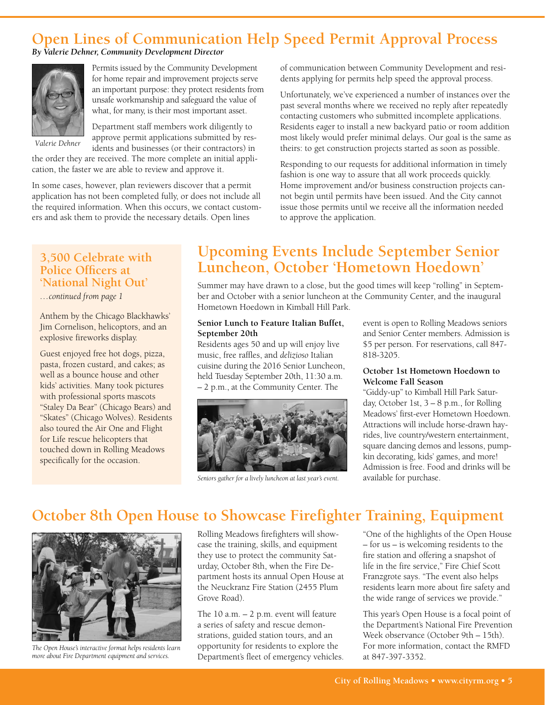## **Open Lines of Communication Help Speed Permit Approval Process**

#### *By Valerie Dehner, Community Development Director*



Permits issued by the Community Development for home repair and improvement projects serve an important purpose: they protect residents from unsafe workmanship and safeguard the value of what, for many, is their most important asset.

Department staff members work diligently to

*Valerie Dehner*

approve permit applications submitted by residents and businesses (or their contractors) in

the order they are received. The more complete an initial application, the faster we are able to review and approve it.

In some cases, however, plan reviewers discover that a permit application has not been completed fully, or does not include all the required information. When this occurs, we contact customers and ask them to provide the necessary details. Open lines

of communication between Community Development and residents applying for permits help speed the approval process.

Unfortunately, we've experienced a number of instances over the past several months where we received no reply after repeatedly contacting customers who submitted incomplete applications. Residents eager to install a new backyard patio or room addition most likely would prefer minimal delays. Our goal is the same as theirs: to get construction projects started as soon as possible.

Responding to our requests for additional information in timely fashion is one way to assure that all work proceeds quickly. Home improvement and/or business construction projects cannot begin until permits have been issued. And the City cannot issue those permits until we receive all the information needed to approve the application.

#### **3,500 Celebrate with Police Officers at 'National Night Out'**

#### *…continued from page 1*

Anthem by the Chicago Blackhawks' Jim Cornelison, helicoptors, and an explosive fireworks display.

Guest enjoyed free hot dogs, pizza, pasta, frozen custard, and cakes; as well as a bounce house and other kids' activities. Many took pictures with professional sports mascots "Staley Da Bear" (Chicago Bears) and "Skates" (Chicago Wolves). Residents also toured the Air One and Flight for Life rescue helicopters that touched down in Rolling Meadows specifically for the occasion.

### **Upcoming Events Include September Senior Luncheon, October 'Hometown Hoedown'**

Summer may have drawn to a close, but the good times will keep "rolling" in September and October with a senior luncheon at the Community Center, and the inaugural Hometown Hoedown in Kimball Hill Park.

#### **Senior Lunch to Feature Italian Buffet, September 20th**

Residents ages 50 and up will enjoy live music, free raffles, and *delizioso* Italian cuisine during the 2016 Senior Luncheon, held Tuesday September 20th, 11:30 a.m. – 2 p.m., at the Community Center. The



*Seniors gather for a lively luncheon at last year's event.* 

event is open to Rolling Meadows seniors and Senior Center members. Admission is \$5 per person. For reservations, call 847- 818-3205.

#### **October 1st Hometown Hoedown to Welcome Fall Season**

"Giddy-up" to Kimball Hill Park Saturday, October 1st, 3 – 8 p.m., for Rolling Meadows' first-ever Hometown Hoedown. Attractions will include horse-drawn hayrides, live country/western entertainment, square dancing demos and lessons, pumpkin decorating, kids' games, and more! Admission is free. Food and drinks will be available for purchase.

## **October 8th Open House to Showcase Firefighter Training, Equipment**



*The Open House's interactive format helps residents learn more about Fire Department equipment and services.*

Rolling Meadows firefighters will showcase the training, skills, and equipment they use to protect the community Saturday, October 8th, when the Fire Department hosts its annual Open House at the Neuckranz Fire Station (2455 Plum Grove Road).

The 10 a.m. – 2 p.m. event will feature a series of safety and rescue demonstrations, guided station tours, and an opportunity for residents to explore the Department's fleet of emergency vehicles. "One of the highlights of the Open House – for us – is welcoming residents to the fire station and offering a snapshot of life in the fire service," Fire Chief Scott Franzgrote says. "The event also helps residents learn more about fire safety and the wide range of services we provide."

This year's Open House is a focal point of the Department's National Fire Prevention Week observance (October 9th – 15th). For more information, contact the RMFD at 847-397-3352.